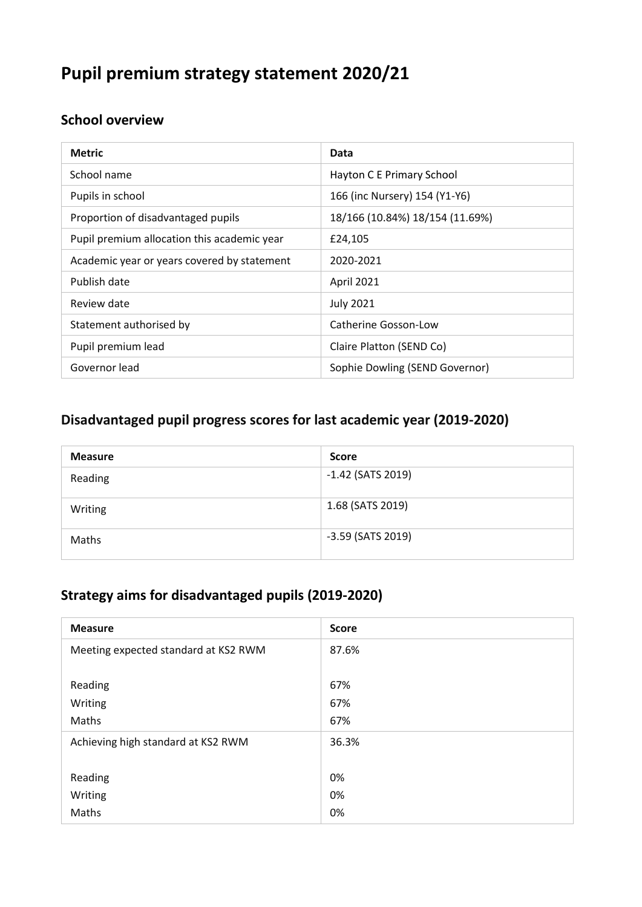# **Pupil premium strategy statement 2020/21**

#### **School overview**

| <b>Metric</b>                               | Data                            |
|---------------------------------------------|---------------------------------|
| School name                                 | Hayton C E Primary School       |
| Pupils in school                            | 166 (inc Nursery) 154 (Y1-Y6)   |
| Proportion of disadvantaged pupils          | 18/166 (10.84%) 18/154 (11.69%) |
| Pupil premium allocation this academic year | £24,105                         |
| Academic year or years covered by statement | 2020-2021                       |
| Publish date                                | April 2021                      |
| Review date                                 | <b>July 2021</b>                |
| Statement authorised by                     | Catherine Gosson-Low            |
| Pupil premium lead                          | Claire Platton (SEND Co)        |
| Governor lead                               | Sophie Dowling (SEND Governor)  |

#### **Disadvantaged pupil progress scores for last academic year (2019-2020)**

| <b>Measure</b> | <b>Score</b>        |
|----------------|---------------------|
| Reading        | $-1.42$ (SATS 2019) |
| Writing        | 1.68 (SATS 2019)    |
| Maths          | -3.59 (SATS 2019)   |

#### **Strategy aims for disadvantaged pupils (2019-2020)**

| <b>Measure</b>                       | <b>Score</b> |
|--------------------------------------|--------------|
| Meeting expected standard at KS2 RWM | 87.6%        |
|                                      |              |
| Reading                              | 67%          |
| Writing                              | 67%          |
| Maths                                | 67%          |
| Achieving high standard at KS2 RWM   | 36.3%        |
|                                      |              |
| Reading                              | 0%           |
| Writing                              | 0%           |
| Maths                                | 0%           |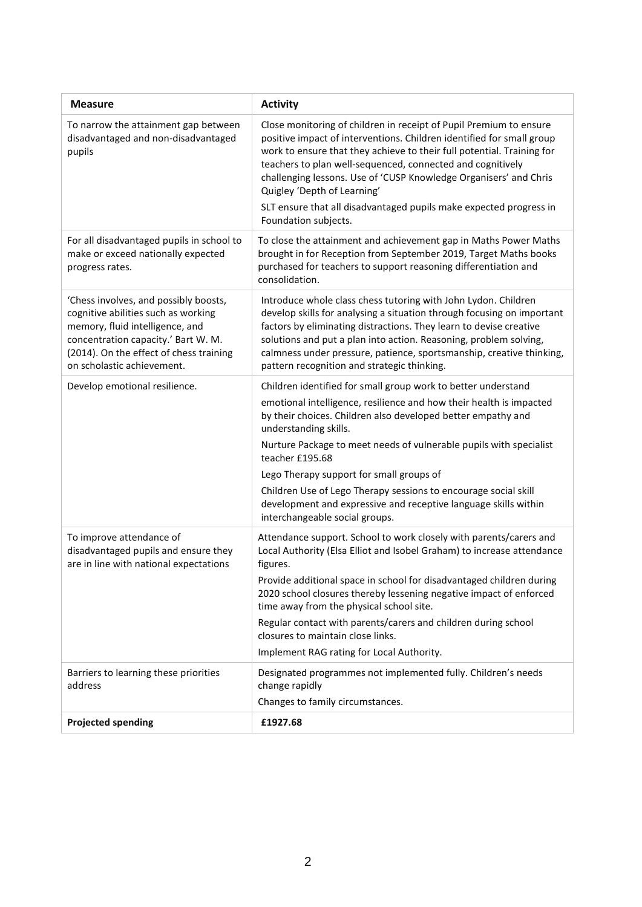| <b>Measure</b>                                                                                                                                                                                                                  | <b>Activity</b>                                                                                                                                                                                                                                                                                                                                                                                                                                                                                        |
|---------------------------------------------------------------------------------------------------------------------------------------------------------------------------------------------------------------------------------|--------------------------------------------------------------------------------------------------------------------------------------------------------------------------------------------------------------------------------------------------------------------------------------------------------------------------------------------------------------------------------------------------------------------------------------------------------------------------------------------------------|
| To narrow the attainment gap between<br>disadvantaged and non-disadvantaged<br>pupils                                                                                                                                           | Close monitoring of children in receipt of Pupil Premium to ensure<br>positive impact of interventions. Children identified for small group<br>work to ensure that they achieve to their full potential. Training for<br>teachers to plan well-sequenced, connected and cognitively<br>challenging lessons. Use of 'CUSP Knowledge Organisers' and Chris<br>Quigley 'Depth of Learning'<br>SLT ensure that all disadvantaged pupils make expected progress in<br>Foundation subjects.                  |
| For all disadvantaged pupils in school to<br>make or exceed nationally expected<br>progress rates.                                                                                                                              | To close the attainment and achievement gap in Maths Power Maths<br>brought in for Reception from September 2019, Target Maths books<br>purchased for teachers to support reasoning differentiation and<br>consolidation.                                                                                                                                                                                                                                                                              |
| 'Chess involves, and possibly boosts,<br>cognitive abilities such as working<br>memory, fluid intelligence, and<br>concentration capacity.' Bart W. M.<br>(2014). On the effect of chess training<br>on scholastic achievement. | Introduce whole class chess tutoring with John Lydon. Children<br>develop skills for analysing a situation through focusing on important<br>factors by eliminating distractions. They learn to devise creative<br>solutions and put a plan into action. Reasoning, problem solving,<br>calmness under pressure, patience, sportsmanship, creative thinking,<br>pattern recognition and strategic thinking.                                                                                             |
| Develop emotional resilience.                                                                                                                                                                                                   | Children identified for small group work to better understand<br>emotional intelligence, resilience and how their health is impacted<br>by their choices. Children also developed better empathy and<br>understanding skills.<br>Nurture Package to meet needs of vulnerable pupils with specialist<br>teacher £195.68<br>Lego Therapy support for small groups of                                                                                                                                     |
|                                                                                                                                                                                                                                 | Children Use of Lego Therapy sessions to encourage social skill<br>development and expressive and receptive language skills within<br>interchangeable social groups.                                                                                                                                                                                                                                                                                                                                   |
| To improve attendance of<br>disadvantaged pupils and ensure they<br>are in line with national expectations                                                                                                                      | Attendance support. School to work closely with parents/carers and<br>Local Authority (Elsa Elliot and Isobel Graham) to increase attendance<br>figures.<br>Provide additional space in school for disadvantaged children during<br>2020 school closures thereby lessening negative impact of enforced<br>time away from the physical school site.<br>Regular contact with parents/carers and children during school<br>closures to maintain close links.<br>Implement RAG rating for Local Authority. |
| Barriers to learning these priorities<br>address                                                                                                                                                                                | Designated programmes not implemented fully. Children's needs<br>change rapidly<br>Changes to family circumstances.                                                                                                                                                                                                                                                                                                                                                                                    |
| <b>Projected spending</b>                                                                                                                                                                                                       | £1927.68                                                                                                                                                                                                                                                                                                                                                                                                                                                                                               |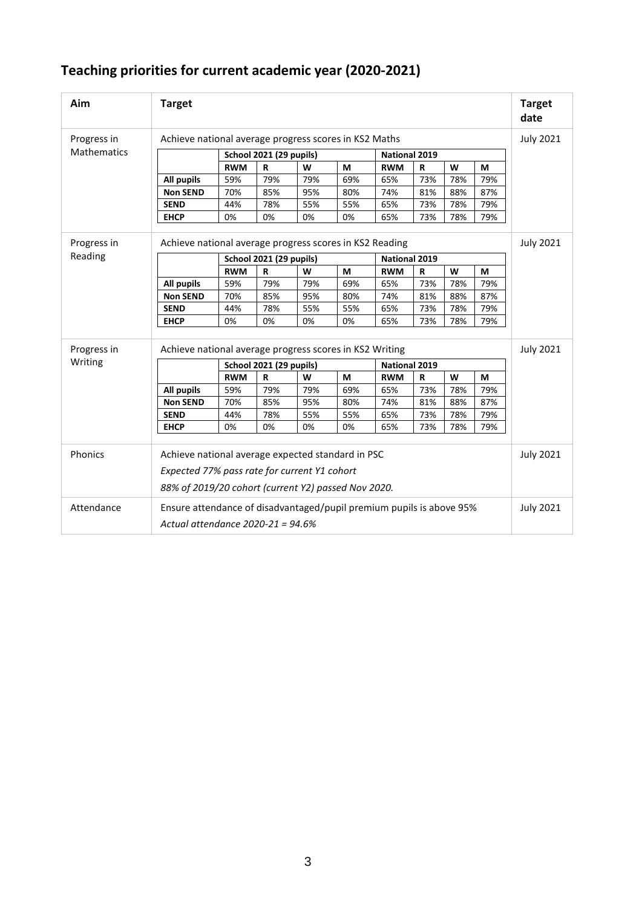|  | Teaching priorities for current academic year (2020-2021) |  |
|--|-----------------------------------------------------------|--|
|--|-----------------------------------------------------------|--|

| Aim                | <b>Target</b>                                                                                                                                            |                                                       |                         |                  |                      |                      |     |     |                  | <b>Target</b><br>date |
|--------------------|----------------------------------------------------------------------------------------------------------------------------------------------------------|-------------------------------------------------------|-------------------------|------------------|----------------------|----------------------|-----|-----|------------------|-----------------------|
| Progress in        |                                                                                                                                                          | Achieve national average progress scores in KS2 Maths |                         |                  |                      |                      |     |     | <b>July 2021</b> |                       |
| <b>Mathematics</b> |                                                                                                                                                          | <b>School 2021 (29 pupils)</b>                        |                         |                  | <b>National 2019</b> |                      |     |     |                  |                       |
|                    |                                                                                                                                                          | <b>RWM</b>                                            | $\mathbf R$             | W                | M                    | <b>RWM</b>           | R   | W   | M                |                       |
|                    | <b>All pupils</b>                                                                                                                                        | 59%                                                   | 79%                     | 79%              | 69%                  | 65%                  | 73% | 78% | 79%              |                       |
|                    | <b>Non SEND</b>                                                                                                                                          | 70%                                                   | 85%                     | 95%              | 80%                  | 74%                  | 81% | 88% | 87%              |                       |
|                    | <b>SEND</b>                                                                                                                                              | 44%                                                   | 78%                     | 55%              | 55%                  | 65%                  | 73% | 78% | 79%              |                       |
|                    | <b>EHCP</b>                                                                                                                                              | 0%                                                    | 0%                      | 0%               | 0%                   | 65%                  | 73% | 78% | 79%              |                       |
| Progress in        | Achieve national average progress scores in KS2 Reading                                                                                                  |                                                       |                         |                  |                      |                      |     |     |                  | <b>July 2021</b>      |
| Reading            |                                                                                                                                                          |                                                       | School 2021 (29 pupils) |                  |                      | <b>National 2019</b> |     |     |                  |                       |
|                    |                                                                                                                                                          | <b>RWM</b>                                            | $\mathbf R$             | W                | M                    | <b>RWM</b>           | R   | W   | M                |                       |
|                    | <b>All pupils</b>                                                                                                                                        | 59%                                                   | 79%                     | 79%              | 69%                  | 65%                  | 73% | 78% | 79%              |                       |
|                    | <b>Non SEND</b>                                                                                                                                          | 70%                                                   | 85%                     | 95%              | 80%                  | 74%                  | 81% | 88% | 87%              |                       |
|                    | <b>SEND</b>                                                                                                                                              | 44%                                                   | 78%                     | 55%              | 55%                  | 65%                  | 73% | 78% | 79%              |                       |
|                    | <b>EHCP</b>                                                                                                                                              | 0%                                                    | 0%                      | 0%               | 0%                   | 65%                  | 73% | 78% | 79%              |                       |
| Progress in        | Achieve national average progress scores in KS2 Writing                                                                                                  |                                                       |                         |                  |                      |                      |     |     |                  | <b>July 2021</b>      |
| Writing            |                                                                                                                                                          | <b>School 2021 (29 pupils)</b>                        |                         |                  | <b>National 2019</b> |                      |     |     |                  |                       |
|                    |                                                                                                                                                          | <b>RWM</b>                                            | R                       | W                | M                    | <b>RWM</b>           | R   | W   | M                |                       |
|                    | <b>All pupils</b>                                                                                                                                        | 59%                                                   | 79%                     | 79%              | 69%                  | 65%                  | 73% | 78% | 79%              |                       |
|                    | <b>Non SEND</b>                                                                                                                                          | 70%                                                   | 85%                     | 95%              | 80%                  | 74%                  | 81% | 88% | 87%              |                       |
|                    | <b>SEND</b>                                                                                                                                              | 44%                                                   | 78%                     | 55%              | 55%                  | 65%                  | 73% | 78% | 79%              |                       |
|                    | <b>EHCP</b>                                                                                                                                              | 0%                                                    | 0%                      | 0%               | 0%                   | 65%                  | 73% | 78% | 79%              |                       |
| Phonics            | Achieve national average expected standard in PSC<br>Expected 77% pass rate for current Y1 cohort<br>88% of 2019/20 cohort (current Y2) passed Nov 2020. |                                                       |                         | <b>July 2021</b> |                      |                      |     |     |                  |                       |
| Attendance         | Ensure attendance of disadvantaged/pupil premium pupils is above 95%<br>Actual attendance 2020-21 = 94.6%                                                |                                                       |                         | <b>July 2021</b> |                      |                      |     |     |                  |                       |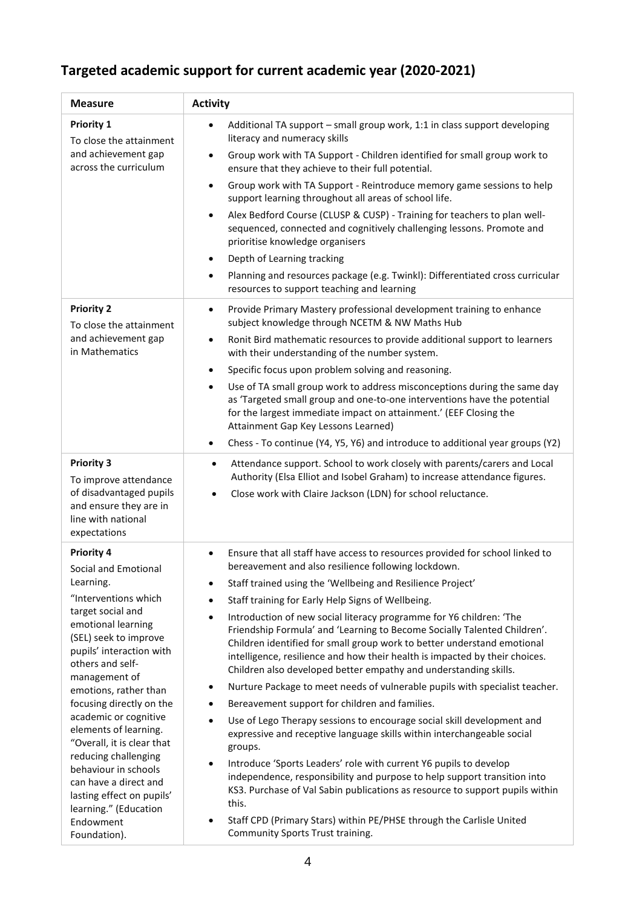## **Targeted academic support for current academic year (2020-2021)**

| <b>Measure</b>                                                                                                                        | <b>Activity</b>                                                                                                                                                                                                                                                                                                                                                                            |  |  |
|---------------------------------------------------------------------------------------------------------------------------------------|--------------------------------------------------------------------------------------------------------------------------------------------------------------------------------------------------------------------------------------------------------------------------------------------------------------------------------------------------------------------------------------------|--|--|
| <b>Priority 1</b><br>To close the attainment                                                                                          | Additional TA support - small group work, 1:1 in class support developing<br>literacy and numeracy skills                                                                                                                                                                                                                                                                                  |  |  |
| and achievement gap<br>across the curriculum                                                                                          | Group work with TA Support - Children identified for small group work to<br>$\bullet$<br>ensure that they achieve to their full potential.                                                                                                                                                                                                                                                 |  |  |
|                                                                                                                                       | Group work with TA Support - Reintroduce memory game sessions to help<br>$\bullet$<br>support learning throughout all areas of school life.                                                                                                                                                                                                                                                |  |  |
|                                                                                                                                       | Alex Bedford Course (CLUSP & CUSP) - Training for teachers to plan well-<br>$\bullet$<br>sequenced, connected and cognitively challenging lessons. Promote and<br>prioritise knowledge organisers                                                                                                                                                                                          |  |  |
|                                                                                                                                       | Depth of Learning tracking<br>٠                                                                                                                                                                                                                                                                                                                                                            |  |  |
|                                                                                                                                       | Planning and resources package (e.g. Twinkl): Differentiated cross curricular<br>$\bullet$<br>resources to support teaching and learning                                                                                                                                                                                                                                                   |  |  |
| <b>Priority 2</b><br>To close the attainment                                                                                          | Provide Primary Mastery professional development training to enhance<br>$\bullet$<br>subject knowledge through NCETM & NW Maths Hub                                                                                                                                                                                                                                                        |  |  |
| and achievement gap<br>in Mathematics                                                                                                 | Ronit Bird mathematic resources to provide additional support to learners<br>$\bullet$<br>with their understanding of the number system.                                                                                                                                                                                                                                                   |  |  |
|                                                                                                                                       | Specific focus upon problem solving and reasoning.<br>$\bullet$                                                                                                                                                                                                                                                                                                                            |  |  |
|                                                                                                                                       | Use of TA small group work to address misconceptions during the same day<br>$\bullet$<br>as 'Targeted small group and one-to-one interventions have the potential<br>for the largest immediate impact on attainment.' (EEF Closing the<br>Attainment Gap Key Lessons Learned)                                                                                                              |  |  |
|                                                                                                                                       | Chess - To continue (Y4, Y5, Y6) and introduce to additional year groups (Y2)<br>٠                                                                                                                                                                                                                                                                                                         |  |  |
| <b>Priority 3</b><br>To improve attendance<br>of disadvantaged pupils<br>and ensure they are in<br>line with national<br>expectations | Attendance support. School to work closely with parents/carers and Local<br>$\bullet$<br>Authority (Elsa Elliot and Isobel Graham) to increase attendance figures.<br>Close work with Claire Jackson (LDN) for school reluctance.                                                                                                                                                          |  |  |
| <b>Priority 4</b><br>Social and Emotional                                                                                             | Ensure that all staff have access to resources provided for school linked to<br>$\bullet$<br>bereavement and also resilience following lockdown.                                                                                                                                                                                                                                           |  |  |
| Learning.                                                                                                                             | Staff trained using the 'Wellbeing and Resilience Project'                                                                                                                                                                                                                                                                                                                                 |  |  |
| "Interventions which                                                                                                                  | Staff training for Early Help Signs of Wellbeing.<br>$\bullet$                                                                                                                                                                                                                                                                                                                             |  |  |
| target social and<br>emotional learning<br>(SEL) seek to improve<br>pupils' interaction with<br>others and self-<br>management of     | Introduction of new social literacy programme for Y6 children: 'The<br>$\bullet$<br>Friendship Formula' and 'Learning to Become Socially Talented Children'.<br>Children identified for small group work to better understand emotional<br>intelligence, resilience and how their health is impacted by their choices.<br>Children also developed better empathy and understanding skills. |  |  |
| emotions, rather than                                                                                                                 | Nurture Package to meet needs of vulnerable pupils with specialist teacher.<br>٠                                                                                                                                                                                                                                                                                                           |  |  |
| focusing directly on the                                                                                                              | Bereavement support for children and families.<br>$\bullet$                                                                                                                                                                                                                                                                                                                                |  |  |
| academic or cognitive<br>$\bullet$<br>elements of learning.<br>"Overall, it is clear that                                             | Use of Lego Therapy sessions to encourage social skill development and<br>expressive and receptive language skills within interchangeable social<br>groups.                                                                                                                                                                                                                                |  |  |
| reducing challenging<br>behaviour in schools<br>can have a direct and<br>lasting effect on pupils'<br>learning." (Education           | Introduce 'Sports Leaders' role with current Y6 pupils to develop<br>$\bullet$<br>independence, responsibility and purpose to help support transition into<br>KS3. Purchase of Val Sabin publications as resource to support pupils within<br>this.                                                                                                                                        |  |  |
| Endowment<br>Foundation).                                                                                                             | Staff CPD (Primary Stars) within PE/PHSE through the Carlisle United<br>$\bullet$<br>Community Sports Trust training.                                                                                                                                                                                                                                                                      |  |  |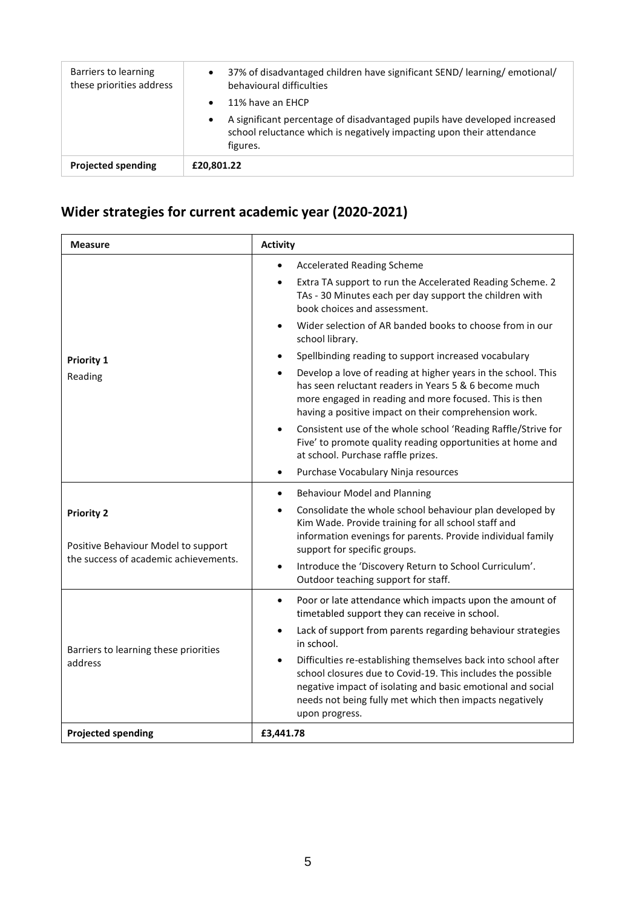| Barriers to learning<br>these priorities address | 37% of disadvantaged children have significant SEND/learning/emotional/<br>$\bullet$<br>behavioural difficulties<br>11% have an EHCP<br>A significant percentage of disadvantaged pupils have developed increased<br>school reluctance which is negatively impacting upon their attendance<br>figures. |
|--------------------------------------------------|--------------------------------------------------------------------------------------------------------------------------------------------------------------------------------------------------------------------------------------------------------------------------------------------------------|
| <b>Projected spending</b>                        | £20,801.22                                                                                                                                                                                                                                                                                             |

# **Wider strategies for current academic year (2020-2021)**

| <b>Measure</b>                                                                                    | <b>Activity</b>                                                                                                                                                                                                                                                           |  |
|---------------------------------------------------------------------------------------------------|---------------------------------------------------------------------------------------------------------------------------------------------------------------------------------------------------------------------------------------------------------------------------|--|
|                                                                                                   | <b>Accelerated Reading Scheme</b>                                                                                                                                                                                                                                         |  |
|                                                                                                   | Extra TA support to run the Accelerated Reading Scheme. 2<br>TAs - 30 Minutes each per day support the children with<br>book choices and assessment.                                                                                                                      |  |
|                                                                                                   | Wider selection of AR banded books to choose from in our<br>$\bullet$<br>school library.                                                                                                                                                                                  |  |
| <b>Priority 1</b>                                                                                 | Spellbinding reading to support increased vocabulary                                                                                                                                                                                                                      |  |
| Reading                                                                                           | Develop a love of reading at higher years in the school. This<br>has seen reluctant readers in Years 5 & 6 become much<br>more engaged in reading and more focused. This is then<br>having a positive impact on their comprehension work.                                 |  |
|                                                                                                   | Consistent use of the whole school 'Reading Raffle/Strive for<br>Five' to promote quality reading opportunities at home and<br>at school. Purchase raffle prizes.                                                                                                         |  |
|                                                                                                   | Purchase Vocabulary Ninja resources<br>$\bullet$                                                                                                                                                                                                                          |  |
| <b>Priority 2</b><br>Positive Behaviour Model to support<br>the success of academic achievements. | <b>Behaviour Model and Planning</b><br>$\bullet$                                                                                                                                                                                                                          |  |
|                                                                                                   | Consolidate the whole school behaviour plan developed by<br>Kim Wade. Provide training for all school staff and<br>information evenings for parents. Provide individual family<br>support for specific groups.                                                            |  |
|                                                                                                   | Introduce the 'Discovery Return to School Curriculum'.<br>Outdoor teaching support for staff.                                                                                                                                                                             |  |
|                                                                                                   | Poor or late attendance which impacts upon the amount of<br>$\bullet$<br>timetabled support they can receive in school.                                                                                                                                                   |  |
| Barriers to learning these priorities<br>address                                                  | Lack of support from parents regarding behaviour strategies<br>in school.                                                                                                                                                                                                 |  |
|                                                                                                   | Difficulties re-establishing themselves back into school after<br>school closures due to Covid-19. This includes the possible<br>negative impact of isolating and basic emotional and social<br>needs not being fully met which then impacts negatively<br>upon progress. |  |
| <b>Projected spending</b>                                                                         | £3,441.78                                                                                                                                                                                                                                                                 |  |